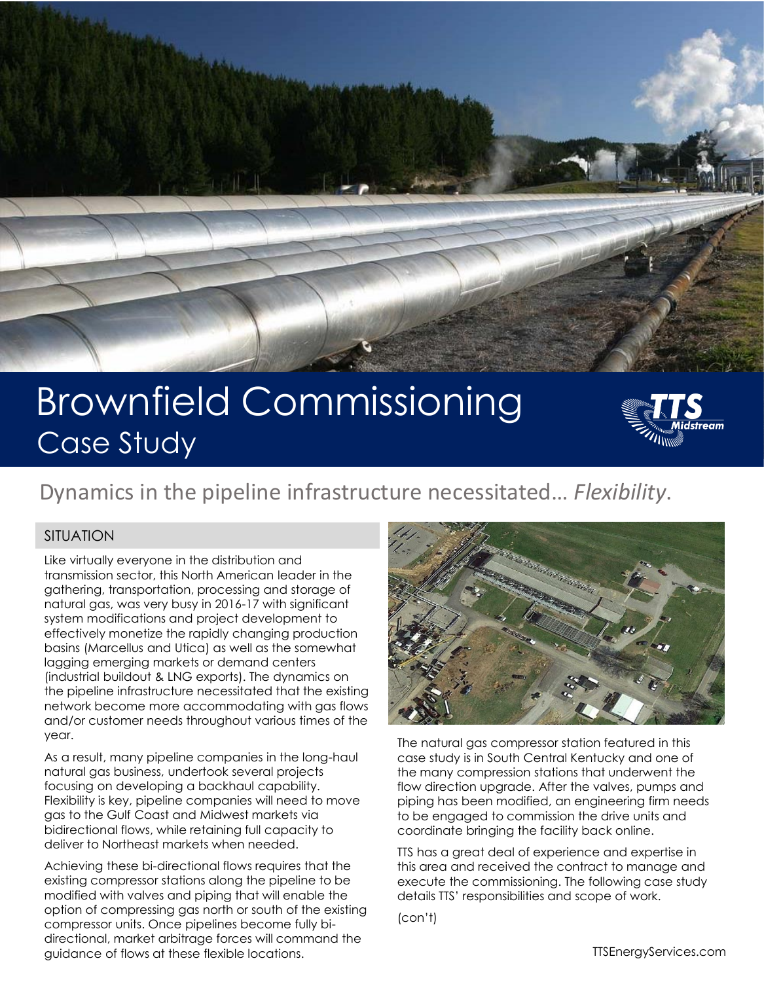

# Brownfield Commissioning Case Study



# Dynamics in the pipeline infrastructure necessitated… *Flexibility*.

### SITUATION

Like virtually everyone in the distribution and transmission sector, this North American leader in the gathering, transportation, processing and storage of natural gas, was very busy in 2016-17 with significant system modifications and project development to effectively monetize the rapidly changing production basins (Marcellus and Utica) as well as the somewhat lagging emerging markets or demand centers (industrial buildout & LNG exports). The dynamics on the pipeline infrastructure necessitated that the existing network become more accommodating with gas flows and/or customer needs throughout various times of the year.

As a result, many pipeline companies in the long-haul natural gas business, undertook several projects focusing on developing a backhaul capability. Flexibility is key, pipeline companies will need to move gas to the Gulf Coast and Midwest markets via bidirectional flows, while retaining full capacity to deliver to Northeast markets when needed.

Achieving these bi-directional flows requires that the existing compressor stations along the pipeline to be modified with valves and piping that will enable the option of compressing gas north or south of the existing compressor units. Once pipelines become fully bidirectional, market arbitrage forces will command the guidance of flows at these flexible locations.



The natural gas compressor station featured in this case study is in South Central Kentucky and one of the many compression stations that underwent the flow direction upgrade. After the valves, pumps and piping has been modified, an engineering firm needs to be engaged to commission the drive units and coordinate bringing the facility back online.

TTS has a great deal of experience and expertise in this area and received the contract to manage and execute the commissioning. The following case study details TTS' responsibilities and scope of work.

(con't)